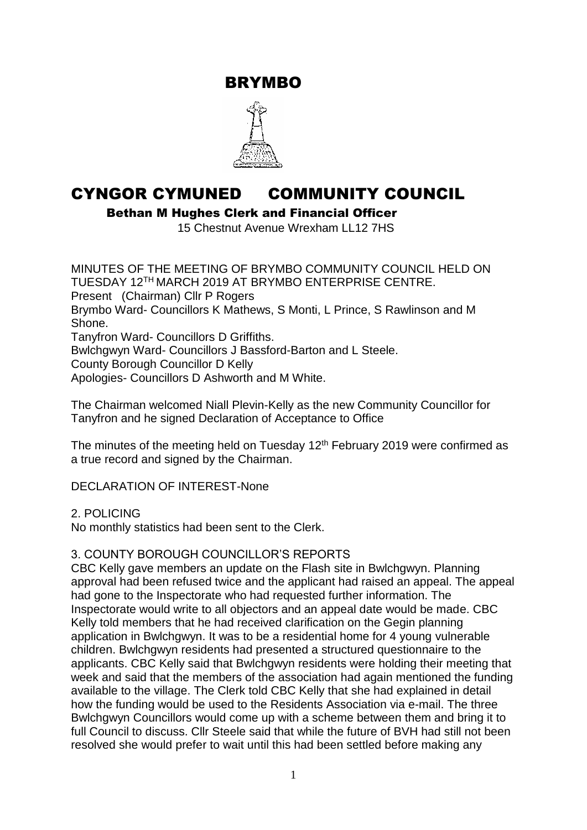BRYMBO



# CYNGOR CYMUNED COMMUNITY COUNCIL

Bethan M Hughes Clerk and Financial Officer

15 Chestnut Avenue Wrexham LL12 7HS

MINUTES OF THE MEETING OF BRYMBO COMMUNITY COUNCIL HELD ON TUESDAY 12TH MARCH 2019 AT BRYMBO ENTERPRISE CENTRE. Present (Chairman) Cllr P Rogers Brymbo Ward- Councillors K Mathews, S Monti, L Prince, S Rawlinson and M Shone. Tanyfron Ward- Councillors D Griffiths. Bwlchgwyn Ward- Councillors J Bassford-Barton and L Steele. County Borough Councillor D Kelly Apologies- Councillors D Ashworth and M White.

The Chairman welcomed Niall Plevin-Kelly as the new Community Councillor for Tanyfron and he signed Declaration of Acceptance to Office

The minutes of the meeting held on Tuesday  $12<sup>th</sup>$  February 2019 were confirmed as a true record and signed by the Chairman.

DECLARATION OF INTEREST-None

2. POLICING

No monthly statistics had been sent to the Clerk.

#### 3. COUNTY BOROUGH COUNCILLOR'S REPORTS

CBC Kelly gave members an update on the Flash site in Bwlchgwyn. Planning approval had been refused twice and the applicant had raised an appeal. The appeal had gone to the Inspectorate who had requested further information. The Inspectorate would write to all objectors and an appeal date would be made. CBC Kelly told members that he had received clarification on the Gegin planning application in Bwlchgwyn. It was to be a residential home for 4 young vulnerable children. Bwlchgwyn residents had presented a structured questionnaire to the applicants. CBC Kelly said that Bwlchgwyn residents were holding their meeting that week and said that the members of the association had again mentioned the funding available to the village. The Clerk told CBC Kelly that she had explained in detail how the funding would be used to the Residents Association via e-mail. The three Bwlchgwyn Councillors would come up with a scheme between them and bring it to full Council to discuss. Cllr Steele said that while the future of BVH had still not been resolved she would prefer to wait until this had been settled before making any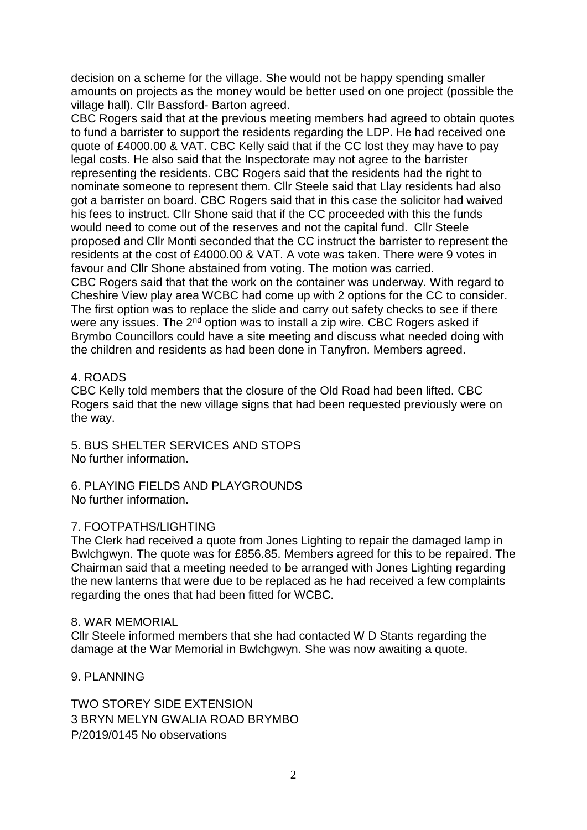decision on a scheme for the village. She would not be happy spending smaller amounts on projects as the money would be better used on one project (possible the village hall). Cllr Bassford- Barton agreed.

CBC Rogers said that at the previous meeting members had agreed to obtain quotes to fund a barrister to support the residents regarding the LDP. He had received one quote of £4000.00 & VAT. CBC Kelly said that if the CC lost they may have to pay legal costs. He also said that the Inspectorate may not agree to the barrister representing the residents. CBC Rogers said that the residents had the right to nominate someone to represent them. Cllr Steele said that Llay residents had also got a barrister on board. CBC Rogers said that in this case the solicitor had waived his fees to instruct. Cllr Shone said that if the CC proceeded with this the funds would need to come out of the reserves and not the capital fund. Cllr Steele proposed and Cllr Monti seconded that the CC instruct the barrister to represent the residents at the cost of £4000.00 & VAT. A vote was taken. There were 9 votes in favour and Cllr Shone abstained from voting. The motion was carried. CBC Rogers said that that the work on the container was underway. With regard to Cheshire View play area WCBC had come up with 2 options for the CC to consider. The first option was to replace the slide and carry out safety checks to see if there were any issues. The 2<sup>nd</sup> option was to install a zip wire. CBC Rogers asked if Brymbo Councillors could have a site meeting and discuss what needed doing with the children and residents as had been done in Tanyfron. Members agreed.

#### 4. ROADS

CBC Kelly told members that the closure of the Old Road had been lifted. CBC Rogers said that the new village signs that had been requested previously were on the way.

5. BUS SHELTER SERVICES AND STOPS No further information.

6. PLAYING FIELDS AND PLAYGROUNDS No further information.

#### 7. FOOTPATHS/LIGHTING

The Clerk had received a quote from Jones Lighting to repair the damaged lamp in Bwlchgwyn. The quote was for £856.85. Members agreed for this to be repaired. The Chairman said that a meeting needed to be arranged with Jones Lighting regarding the new lanterns that were due to be replaced as he had received a few complaints regarding the ones that had been fitted for WCBC.

#### 8. WAR MEMORIAL

Cllr Steele informed members that she had contacted W D Stants regarding the damage at the War Memorial in Bwlchgwyn. She was now awaiting a quote.

9. PLANNING

TWO STOREY SIDE EXTENSION 3 BRYN MELYN GWALIA ROAD BRYMBO P/2019/0145 No observations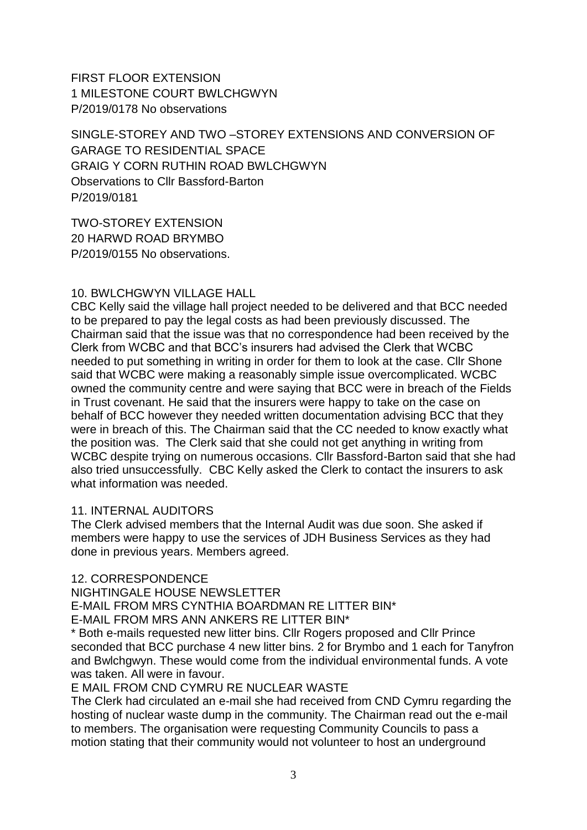FIRST FLOOR EXTENSION 1 MILESTONE COURT BWLCHGWYN P/2019/0178 No observations

SINGLE-STOREY AND TWO –STOREY EXTENSIONS AND CONVERSION OF GARAGE TO RESIDENTIAL SPACE GRAIG Y CORN RUTHIN ROAD BWLCHGWYN Observations to Cllr Bassford-Barton P/2019/0181

TWO-STOREY EXTENSION 20 HARWD ROAD BRYMBO P/2019/0155 No observations.

## 10. BWLCHGWYN VILLAGE HALL

CBC Kelly said the village hall project needed to be delivered and that BCC needed to be prepared to pay the legal costs as had been previously discussed. The Chairman said that the issue was that no correspondence had been received by the Clerk from WCBC and that BCC's insurers had advised the Clerk that WCBC needed to put something in writing in order for them to look at the case. Cllr Shone said that WCBC were making a reasonably simple issue overcomplicated. WCBC owned the community centre and were saying that BCC were in breach of the Fields in Trust covenant. He said that the insurers were happy to take on the case on behalf of BCC however they needed written documentation advising BCC that they were in breach of this. The Chairman said that the CC needed to know exactly what the position was. The Clerk said that she could not get anything in writing from WCBC despite trying on numerous occasions. Cllr Bassford-Barton said that she had also tried unsuccessfully. CBC Kelly asked the Clerk to contact the insurers to ask what information was needed.

#### 11. INTERNAL AUDITORS

The Clerk advised members that the Internal Audit was due soon. She asked if members were happy to use the services of JDH Business Services as they had done in previous years. Members agreed.

#### 12. CORRESPONDENCE

NIGHTINGALE HOUSE NEWSLETTER E-MAIL FROM MRS CYNTHIA BOARDMAN RE LITTER BIN\* E-MAIL FROM MRS ANN ANKERS RE LITTER BIN\*

\* Both e-mails requested new litter bins. Cllr Rogers proposed and Cllr Prince seconded that BCC purchase 4 new litter bins. 2 for Brymbo and 1 each for Tanyfron and Bwlchgwyn. These would come from the individual environmental funds. A vote was taken. All were in favour.

E MAIL FROM CND CYMRU RE NUCLEAR WASTE

The Clerk had circulated an e-mail she had received from CND Cymru regarding the hosting of nuclear waste dump in the community. The Chairman read out the e-mail to members. The organisation were requesting Community Councils to pass a motion stating that their community would not volunteer to host an underground